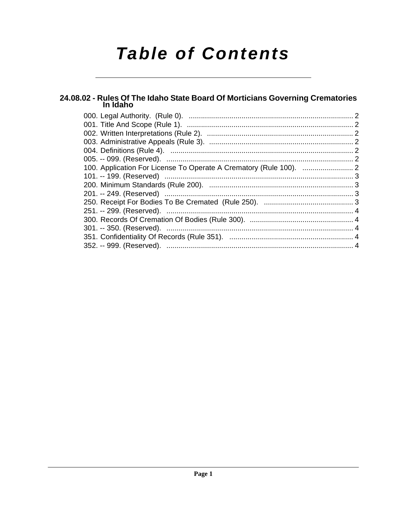# **Table of Contents**

# 24.08.02 - Rules Of The Idaho State Board Of Morticians Governing Crematories<br>In Idaho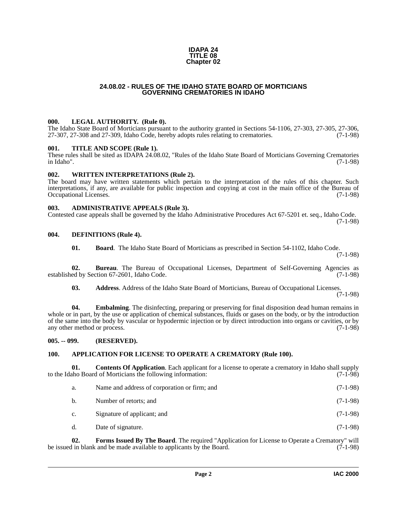#### **IDAPA 24 TITLE 08 Chapter 02**

# **24.08.02 - RULES OF THE IDAHO STATE BOARD OF MORTICIANS GOVERNING CREMATORIES IN IDAHO**

# <span id="page-1-17"></span><span id="page-1-1"></span><span id="page-1-0"></span>**000. LEGAL AUTHORITY. (Rule 0).**

The Idaho State Board of Morticians pursuant to the authority granted in Sections 54-1106, 27-303, 27-305, 27-306, 27-307, 27-308 and 27-309, Idaho Code, hereby adopts rules relating to crematories. (7-1-98)

# <span id="page-1-18"></span><span id="page-1-2"></span>**001. TITLE AND SCOPE (Rule 1).**

These rules shall be sited as IDAPA 24.08.02, "Rules of the Idaho State Board of Morticians Governing Crematories in Idaho". (7-1-98)

# <span id="page-1-19"></span><span id="page-1-3"></span>**002. WRITTEN INTERPRETATIONS (Rule 2).**

The board may have written statements which pertain to the interpretation of the rules of this chapter. Such interpretations, if any, are available for public inspection and copying at cost in the main office of the Bureau of Occupational Licenses. (7-1-98)

# <span id="page-1-9"></span><span id="page-1-4"></span>**003. ADMINISTRATIVE APPEALS (Rule 3).**

Contested case appeals shall be governed by the Idaho Administrative Procedures Act 67-5201 et. seq., Idaho Code. (7-1-98)

# <span id="page-1-5"></span>**004. DEFINITIONS (Rule 4).**

<span id="page-1-14"></span><span id="page-1-12"></span><span id="page-1-11"></span>**01. Board**. The Idaho State Board of Morticians as prescribed in Section 54-1102, Idaho Code.

(7-1-98)

**02. Bureau**. The Bureau of Occupational Licenses, Department of Self-Governing Agencies as established by Section 67-2601, Idaho Code. (7-1-98)

<span id="page-1-15"></span><span id="page-1-8"></span>**03. Address**. Address of the Idaho State Board of Morticians, Bureau of Occupational Licenses.

(7-1-98)

**04. Embalming**. The disinfecting, preparing or preserving for final disposition dead human remains in whole or in part, by the use or application of chemical substances, fluids or gases on the body, or by the introduction of the same into the body by vascular or hypodermic injection or by direct introduction into organs or cavities, or by any other method or process. any other method or process.

#### <span id="page-1-6"></span>**005. -- 099. (RESERVED).**

# <span id="page-1-10"></span><span id="page-1-7"></span>**100. APPLICATION FOR LICENSE TO OPERATE A CREMATORY (Rule 100).**

**01. Contents Of Application**. Each applicant for a license to operate a crematory in Idaho shall supply to the Idaho Board of Morticians the following information: (7-1-98)

<span id="page-1-13"></span>

| a.             | Name and address of corporation or firm; and<br>$(7-1-98)$ |            |
|----------------|------------------------------------------------------------|------------|
| b.             | Number of retorts; and                                     | $(7-1-98)$ |
| $\mathbf{c}$ . | Signature of applicant; and                                | $(7-1-98)$ |
|                | Date of signature.                                         | $(7-1-98)$ |

<span id="page-1-16"></span>**02. Forms Issued By The Board**. The required "Application for License to Operate a Crematory" will be issued in blank and be made available to applicants by the Board.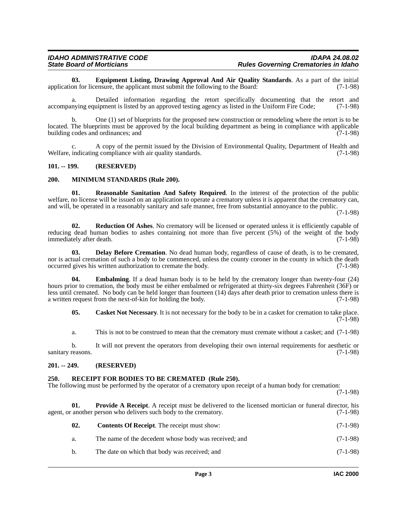<span id="page-2-8"></span>**03. Equipment Listing, Drawing Approval And Air Quality Standards**. As a part of the initial on for licensure, the applicant must submit the following to the Board: (7-1-98) application for licensure, the applicant must submit the following to the Board:

a. Detailed information regarding the retort specifically documenting that the retort and accompanying equipment is listed by an approved testing agency as listed in the Uniform Fire Code; (7-1-98)

b. One (1) set of blueprints for the proposed new construction or remodeling where the retort is to be located. The blueprints must be approved by the local building department as being in compliance with applicable building codes and ordinances; and  $(7-1-98)$ 

c. A copy of the permit issued by the Division of Environmental Quality, Department of Health and Welfare, indicating compliance with air quality standards. (7-1-98)

# <span id="page-2-0"></span>**101. -- 199. (RESERVED)**

#### <span id="page-2-9"></span><span id="page-2-1"></span>**200. MINIMUM STANDARDS (Rule 200).**

<span id="page-2-11"></span>**01. Reasonable Sanitation And Safety Required**. In the interest of the protection of the public welfare, no license will be issued on an application to operate a crematory unless it is apparent that the crematory can, and will, be operated in a reasonably sanitary and safe manner, free from substantial annoyance to the public.

(7-1-98)

<span id="page-2-13"></span>**02. Reduction Of Ashes**. No crematory will be licensed or operated unless it is efficiently capable of reducing dead human bodies to ashes containing not more than five percent (5%) of the weight of the body<br>immediately after death. (7-1-98) immediately after death.

<span id="page-2-6"></span>**03. Delay Before Cremation**. No dead human body, regardless of cause of death, is to be cremated, nor is actual cremation of such a body to be commenced, unless the county coroner in the county in which the death occurred gives his written authorization to cremate the body. (7-1-98) occurred gives his written authorization to cremate the body.

**Embalming**. If a dead human body is to be held by the crematory longer than twenty-four (24) hours prior to cremation, the body must be either embalmed or refrigerated at thirty-six degrees Fahrenheit (36F) or less until cremated. No body can be held longer than fourteen (14) days after death prior to cremation unless there is a written request from the next-of-kin for holding the body. (7-1-98)

<span id="page-2-7"></span><span id="page-2-4"></span>**05.** Casket Not Necessary. It is not necessary for the body to be in a casket for cremation to take place. (7-1-98)

a. This is not to be construed to mean that the crematory must cremate without a casket; and (7-1-98)

b. It will not prevent the operators from developing their own internal requirements for aesthetic or sanitary reasons. (7-1-98)

#### <span id="page-2-2"></span>**201. -- 249. (RESERVED)**

#### <span id="page-2-12"></span><span id="page-2-3"></span>**250. RECEIPT FOR BODIES TO BE CREMATED (Rule 250).**

The following must be performed by the operator of a crematory upon receipt of a human body for cremation:

(7-1-98)

**01. Provide A Receipt**. A receipt must be delivered to the licensed mortician or funeral director, his agent, or another person who delivers such body to the crematory. (7-1-98)

<span id="page-2-10"></span><span id="page-2-5"></span>

| 02. | <b>Contents Of Receipt.</b> The receipt must show:    | $(7-1-98)$ |
|-----|-------------------------------------------------------|------------|
| а.  | The name of the decedent whose body was received; and | $(7-1-98)$ |
| b.  | The date on which that body was received; and         | $(7-1-98)$ |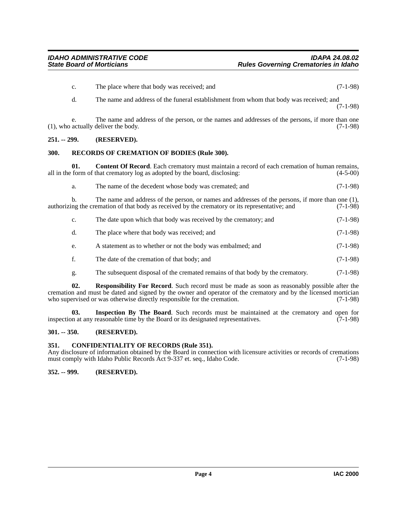- c. The place where that body was received; and (7-1-98)
- d. The name and address of the funeral establishment from whom that body was received; and (7-1-98)

e. The name and address of the person, or the names and addresses of the persons, if more than one actually deliver the body. (7-1-98)  $(1)$ , who actually deliver the body.

# <span id="page-3-0"></span>**251. -- 299. (RESERVED).**

# <span id="page-3-8"></span><span id="page-3-1"></span>**300. RECORDS OF CREMATION OF BODIES (Rule 300).**

**01.** Content Of Record. Each crematory must maintain a record of each cremation of human remains, all in the form of that crematory log as adopted by the board, disclosing: (4-5-00)

<span id="page-3-6"></span>a. The name of the decedent whose body was cremated; and (7-1-98)

b. The name and address of the person, or names and addresses of the persons, if more than one  $(1)$ , ng the cremation of that body as received by the crematory or its representative; and  $(7-1-98)$ authorizing the cremation of that body as received by the crematory or its representative; and

|  | The date upon which that body was received by the crematory; and | $(7-1-98)$ |
|--|------------------------------------------------------------------|------------|
|--|------------------------------------------------------------------|------------|

d. The place where that body was received; and (7-1-98)

e. A statement as to whether or not the body was embalmed; and (7-1-98)

- f. The date of the cremation of that body; and (7-1-98)
- <span id="page-3-9"></span><span id="page-3-7"></span>g. The subsequent disposal of the cremated remains of that body by the crematory. (7-1-98)

**02. Responsibility For Record**. Such record must be made as soon as reasonably possible after the cremation and must be dated and signed by the owner and operator of the crematory and by the licensed mortician<br>who supervised or was otherwise directly responsible for the cremation. (7-1-98) who supervised or was otherwise directly responsible for the cremation.

**03.** Inspection By The Board. Such records must be maintained at the crematory and open for in at any reasonable time by the Board or its designated representatives. (7-1-98) inspection at any reasonable time by the Board or its designated representatives.

# <span id="page-3-2"></span>**301. -- 350. (RESERVED).**

# <span id="page-3-5"></span><span id="page-3-3"></span>**351. CONFIDENTIALITY OF RECORDS (Rule 351).**

Any disclosure of information obtained by the Board in connection with licensure activities or records of cremations must comply with Idaho Public Records Act 9-337 et. seq., Idaho Code. (7-1-98)

<span id="page-3-4"></span>**352. -- 999. (RESERVED).**